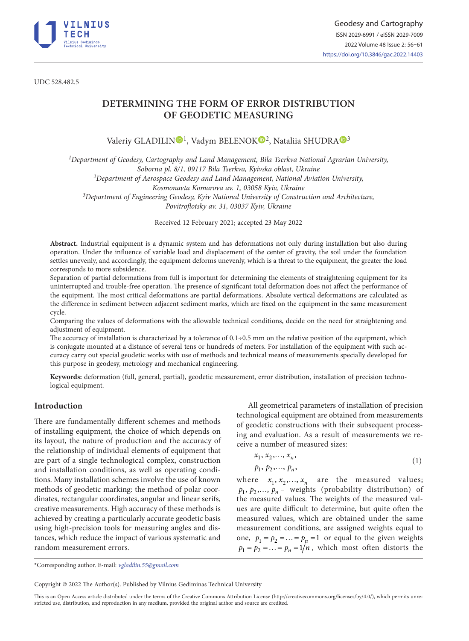

UDC 528.482.5

# **DETERMINING THE FORM OF ERROR DISTRIBUTION OF GEODETIC MEASURING**

Valeriy GLADILI[N](https://orcid.org/0000-0002-0492-3510)<sup>D1</sup>, Vadym BELENOK<sup>D[2](https://orcid.org/ 0000-0001-5357-7493)</sup>, Nataliia SHUDR[A](https://orcid.org/0000-0001-5416-7680)<sup>D3</sup>

*1Department of Geodesy, Cartography and Land Management, Bila Tserkva National Agrarian University,* 

*Soborna pl. 8/1, 09117 Bila Tserkva, Kyivska oblast, Ukraine*

*2Department of Aerospace Geodesy and Land Management, National Aviation University,* 

*Kosmonavta Komarova av. 1, 03058 Kyiv, Ukraine*

*3Department of Engineering Geodesy, Kyiv National University of Construction and Architecture, Povitroflotsky av. 31, 03037 Kyiv, Ukraine* 

Received 12 February 2021; accepted 23 May 2022

**Abstract.** Industrial equipment is a dynamic system and has deformations not only during installation but also during operation. Under the influence of variable load and displacement of the center of gravity, the soil under the foundation settles unevenly, and accordingly, the equipment deforms unevenly, which is a threat to the equipment, the greater the load corresponds to more subsidence.

Separation of partial deformations from full is important for determining the elements of straightening equipment for its uninterrupted and trouble-free operation. The presence of significant total deformation does not affect the performance of the equipment. The most critical deformations are partial deformations. Absolute vertical deformations are calculated as the difference in sediment between adjacent sediment marks, which are fixed on the equipment in the same measurement cycle.

Comparing the values of deformations with the allowable technical conditions, decide on the need for straightening and adjustment of equipment.

The accuracy of installation is characterized by a tolerance of  $0.1\div0.5$  mm on the relative position of the equipment, which is conjugate mounted at a distance of several tens or hundreds of meters. For installation of the equipment with such accuracy carry out special geodetic works with use of methods and technical means of measurements specially developed for this purpose in geodesy, metrology and mechanical engineering.

**Keywords:** deformation (full, general, partial), geodetic measurement, error distribution, installation of precision technological equipment.

## **Introduction**

There are fundamentally different schemes and methods of installing equipment, the choice of which depends on its layout, the nature of production and the accuracy of the relationship of individual elements of equipment that are part of a single technological complex, construction and installation conditions, as well as operating conditions. Many installation schemes involve the use of known methods of geodetic marking: the method of polar coordinates, rectangular coordinates, angular and linear serifs, creative measurements. High accuracy of these methods is achieved by creating a particularly accurate geodetic basis using high-precision tools for measuring angles and distances, which reduce the impact of various systematic and random measurement errors.

All geometrical parameters of installation of precision technological equipment are obtained from measurements of geodetic constructions with their subsequent processing and evaluation. As a result of measurements we receive a number of measured sizes:

$$
x_1, x_2, \ldots, x_n, p_1, p_2, \ldots, p_n,
$$
 (1)

where  $x_1, x_2, ..., x_n$  are the measured values;  $p_1, p_2,..., p_n$  – weights (probability distribution) of the measured values. The weights of the measured values are quite difficult to determine, but quite often the measured values, which are obtained under the same measurement conditions, are assigned weights equal to one,  $p_1 = p_2 = \ldots = p_n = 1$  or equal to the given weights  $p_1 = p_2 = \ldots = p_n = 1/n$ , which most often distorts the

\*Corresponding author. E-mail: *vgladilin.55@gmail.com*

Copyright © 2022 The Author(s). Published by Vilnius Gediminas Technical University

This is an Open Access article distributed under the terms of the Creative Commons Attribution License [\(http://creativecommons.org/licenses/by/4.0/](http://creativecommons.org/licenses/by/4.0/)), which permits unrestricted use, distribution, and reproduction in any medium, provided the original author and source are credited.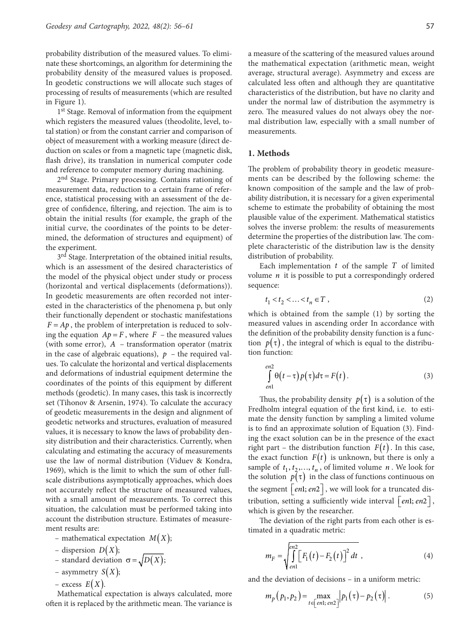probability distribution of the measured values. To eliminate these shortcomings, an algorithm for determining the probability density of the measured values is proposed. In geodetic constructions we will allocate such stages of processing of results of measurements (which are resulted in [Figure 1\)](#page-3-0).

1<sup>st</sup> Stage. Removal of information from the equipment which registers the measured values (theodolite, level, total station) or from the constant carrier and comparison of object of measurement with a working measure (direct deduction on scales or from a magnetic tape (magnetic disk, flash drive), its translation in numerical computer code and reference to computer memory during machining.

2<sup>nd</sup> Stage. Primary processing. Contains rationing of measurement data, reduction to a certain frame of reference, statistical processing with an assessment of the degree of confidence, filtering, and rejection. The aim is to obtain the initial results (for example, the graph of the initial curve, the coordinates of the points to be determined, the deformation of structures and equipment) of the experiment.

3<sup>rd</sup> Stage. Interpretation of the obtained initial results, which is an assessment of the desired characteristics of the model of the physical object under study or process (horizontal and vertical displacements (deformations)). In geodetic measurements are often recorded not interested in the characteristics of the phenomena p, but only their functionally dependent or stochastic manifestations  $F = Ap$ , the problem of interpretation is reduced to solving the equation  $Ap = F$ , where  $F$  – the measured values (with some error), *A* – transformation operator (matrix in the case of algebraic equations),  $p -$  the required values. To calculate the horizontal and vertical displacements and deformations of industrial equipment determine the coordinates of the points of this equipment by different methods (geodetic). In many cases, this task is incorrectly set (Tihonov & Arsenin, 1974). To calculate the accuracy of geodetic measurements in the design and alignment of geodetic networks and structures, evaluation of measured values, it is necessary to know the laws of probability density distribution and their characteristics. Currently, when calculating and estimating the accuracy of measurements use the law of normal distribution (Viduev & Kondra, 1969), which is the limit to which the sum of other fullscale distributions asymptotically approaches, which does not accurately reflect the structure of measured values, with a small amount of measurements. To correct this situation, the calculation must be performed taking into account the distribution structure. Estimates of measurement results are:

- mathematical expectation  $M(X)$ ;
- $-$  dispersion  $D(X)$ ;
- standard deviation  $\sigma = \sqrt{D(X)}$ ;
- asymmetry  $S(X)$ ;
- excess  $E(X)$ .

Mathematical expectation is always calculated, more often it is replaced by the arithmetic mean. The variance is

a measure of the scattering of the measured values around the mathematical expectation (arithmetic mean, weight average, structural average). Asymmetry and excess are calculated less often and although they are quantitative characteristics of the distribution, but have no clarity and under the normal law of distribution the asymmetry is zero. The measured values do not always obey the nor-

#### **1. Methods**

measurements.

The problem of probability theory in geodetic measurements can be described by the following scheme: the known composition of the sample and the law of probability distribution, it is necessary for a given experimental scheme to estimate the probability of obtaining the most plausible value of the experiment. Mathematical statistics solves the inverse problem: the results of measurements determine the properties of the distribution law. The complete characteristic of the distribution law is the density distribution of probability.

mal distribution law, especially with a small number of

Each implementation *t* of the sample *T* of limited volume  $n$  it is possible to put a correspondingly ordered sequence:

$$
t_1 < t_2 < \ldots < t_n \in T \tag{2}
$$

which is obtained from the sample (1) by sorting the measured values in ascending order In accordance with the definition of the probability density function is a function  $p(\tau)$ , the integral of which is equal to the distribution function:

$$
\int_{en1}^{en2} \theta(t-\tau) p(\tau) d\tau = F(t).
$$
\n(3)

Thus, the probability density  $p(\tau)$  is a solution of the Fredholm integral equation of the first kind, i.e. to estimate the density function by sampling a limited volume is to find an approximate solution of Equation (3). Finding the exact solution can be in the presence of the exact right part – the distribution function  $F(t)$ . In this case, the exact function  $F(t)$  is unknown, but there is only a sample of  $t_1, t_2, \ldots, t_n$ , of limited volume *n*. We look for the solution  $p(\tau)$  in the class of functions continuous on the segment  $|en1; en2|$ , we will look for a truncated distribution, setting a sufficiently wide interval  $\lceil en \cdot \rceil$ ,  $\lceil en \cdot \rceil$ , which is given by the researcher.

The deviation of the right parts from each other is estimated in a quadratic metric:

$$
m_F = \sqrt{\int_{en1}^{en2} [F_1(t) - F_2(t)]^2 dt} , \qquad (4)
$$

and the deviation of decisions – in a uniform metric:

$$
m_p(p_1, p_2) = \max_{t \in [en1; en2]} |p_1(\tau) - p_2(\tau)|.
$$
 (5)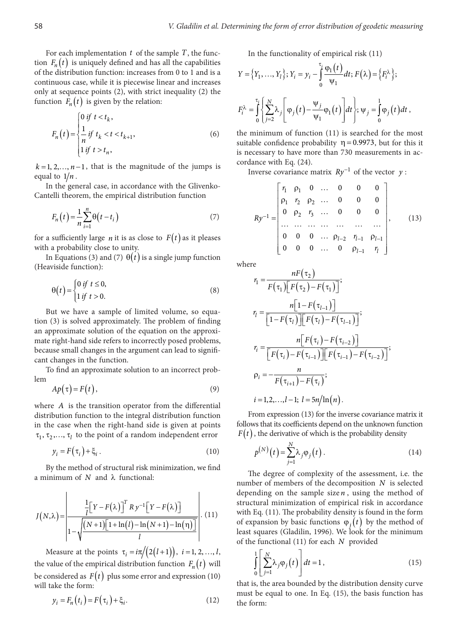For each implementation *t* of the sample *T*, the function  $F_n(t)$  is uniquely defined and has all the capabilities of the distribution function: increases from 0 to 1 and is a continuous case, while it is piecewise linear and increases only at sequence points (2), with strict inequality (2) the function  $F_n(t)$  is given by the relation:

$$
F_n(t) = \begin{cases} 0 \text{ if } t < t_k, \\ \frac{1}{n} \text{ if } t_k < t < t_{k+1}, \\ 1 \text{ if } t > t_n, \end{cases} \tag{6}
$$

 $k = 1, 2, \ldots, n-1$ , that is the magnitude of the jumps is equal to  $1/n$ .

In the general case, in accordance with the Glivenko-Cantelli theorem, the empirical distribution function

$$
F_n(t) = \frac{1}{n} \sum_{i=1}^n \Theta(t - t_i)
$$
\n(7)

for a sufficiently large *n* it is as close to  $F(t)$  as it pleases with a probability close to unity.

In Equations (3) and (7)  $\theta(t)$  is a single jump function (Heaviside function):

$$
\theta(t) = \begin{cases} 0 \text{ if } t \le 0, \\ 1 \text{ if } t > 0. \end{cases}
$$
 (8)

But we have a sample of limited volume, so equation (3) is solved approximately. The problem of finding  $\lfloor 1 - F(\tau_l) \rfloor \lfloor F(\tau_l) - F(\tau_{l-1}) \rfloor$ an approximate solution of the equation on the approximate right-hand side refers to incorrectly posed problems, because small changes in the argument can lead to significant changes in the function. *r r r r r r r* 

To find an approximate solution to an incorrect problem

$$
Ap(\tau) = F(t),\tag{9}
$$

where *A* is the transition operator from the differential distribution function to the integral distribution function in the case when the right-hand side is given at points  $\tau_1$ ,  $\tau_2$ ,...,  $\tau_l$  to the point of a random independent error

$$
y_i = F(\tau_i) + \xi_i \,. \tag{10}
$$

By the method of structural risk minimization, we find a minimum of  $N$  and  $\lambda$  functional:

$$
J(N,\lambda) = \frac{\frac{1}{l} \left[ Y - F(\lambda) \right]^T R y^{-1} \left[ Y - F(\lambda) \right]}{1 - \sqrt{\frac{(N+1)\left[1 + \ln(l) - \ln(N+1) - \ln(\eta)\right]}{l}}}
$$
(11)

Measure at the points  $\tau_i = i\pi/(2(l+1))$ ,  $i = 1, 2, ..., l$ , the value of the empirical distribution function  $F_n(t)$  will be considered as  $F(t)$  plus some error and expression (10) will take the form:

$$
y_i = F_n(t_i) = F(\tau_i) + \xi_i.
$$
 (12)

In the functionality of empirical risk (11)

$$
Y = \{Y_1, ..., Y_l\}; Y_i = y_i - \int_0^{\tau_i} \frac{\varphi_1(t)}{\psi_1} dt; F(\lambda) = \{F_i^{\lambda}\};
$$

$$
F_i^{\lambda} = \int_0^{\tau_i} \left\{ \sum_{j=2}^N \lambda_j \left[ \varphi_j(t) - \frac{\psi_j}{\psi_1} \varphi_1(t) \right] dt \right\}; \psi_j = \int_0^1 \varphi_j(t) dt,
$$

the minimum of function (11) is searched for the most suitable confidence probability  $\eta = 0.9973$ , but for this it is necessary to have more than 730 measurements in accordance with Eq. (24).

Inverse covariance matrix  $Ry^{-1}$  of the vector *y* :

$$
Ry^{-1} = \begin{bmatrix} r_1 & p_1 & 0 & \dots & 0 & 0 & 0 \\ p_1 & r_2 & p_2 & \dots & 0 & 0 & 0 \\ 0 & p_2 & r_3 & \dots & 0 & 0 & 0 \\ \dots & \dots & \dots & \dots & \dots & \dots & \dots \\ 0 & 0 & 0 & \dots & p_{l-2} & r_{l-1} & p_{l-1} \\ 0 & 0 & 0 & \dots & 0 & p_{l-1} & r_l \end{bmatrix},
$$
 (13)

where

$$
r_{1} = \frac{nF(\tau_{2})}{F(\tau_{1})[F(\tau_{2}) - F(\tau_{1})]},
$$
\n  
\nlume, so equa-  
\nblem of finding  
\non the approxi-  
\nposed problems,  
\nn lead to signifi-  
\n
$$
r_{i} = \frac{n[1 - F(\tau_{i})][F(\tau_{i}) - F(\tau_{i-1})]}{[1 - F(\tau_{i})][F(\tau_{i}) - F(\tau_{i-1})]};
$$
\n  
\n
$$
r_{i} = \frac{n[F(\tau_{i}) - F(\tau_{i-1})][F(\tau_{i-1}) - F(\tau_{i-2})]}{[F(\tau_{i}) - F(\tau_{i-1})][F(\tau_{i-1}) - F(\tau_{i-2})]};
$$
\n  
\nincorrect prob-  
\n
$$
\rho_{i} = -\frac{n}{F(\tau_{i+1}) - F(\tau_{i})};
$$
\n(9)  
\nthe differential  
\n $i = 1, 2, ..., l-1; l = 5n/ln(n).$ 

From expression (13) for the inverse covariance matrix it follows that its coefficients depend on the unknown function  $F(t)$ , the derivative of which is the probability density

$$
p^{(N)}(t) = \sum_{j=1}^{N} \lambda_j \varphi_j(t).
$$
 (14)

The degree of complexity of the assessment, i.e. the number of members of the decomposition *N* is selected depending on the sample size *n* , using the method of structural minimization of empirical risk in accordance with Eq. (11). The probability density is found in the form of expansion by basic functions  $\varphi_i(t)$  by the method of least squares (Gladilin, 1996). We look for the minimum of the functional (11) for each *N* provided

$$
\int_{0}^{1} \left[ \sum_{j=1}^{N} \lambda_{j} \varphi_{j}(t) \right] dt = 1, \qquad (15)
$$

that is, the area bounded by the distribution density curve must be equal to one. In Eq. (15), the basis function has the form: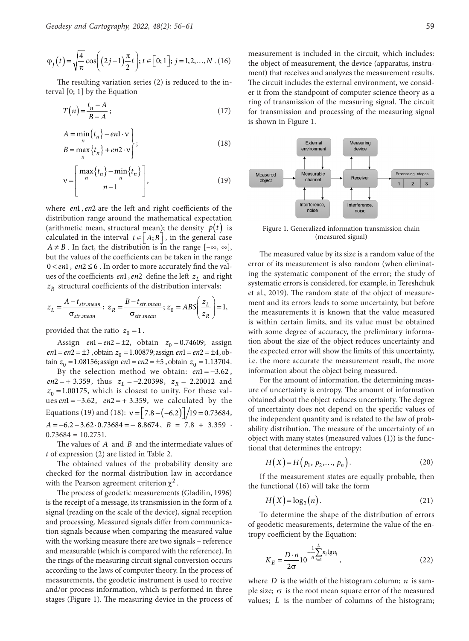$$
\varphi_j(t) = \sqrt{\frac{4}{\pi}} \cos \left( (2j-1)\frac{\pi}{2}t \right); t \in [0; 1]; j = 1, 2, ..., N
$$
 (16)

The resulting variation series (2) is reduced to the interval [0; 1] by the Equation

$$
T(n) = \frac{t_n - A}{B - A};\tag{17}
$$

$$
A = \min_{n} \{t_n\} - en1 \cdot \mathbf{v} \\ B = \max_{n} \{t_n\} + en2 \cdot \mathbf{v} \qquad (18)
$$

$$
v = \left[\frac{\max\{t_n\} - \min\{t_n\}}{n-1}\right],
$$
\n(19)

where *en*1, *en*2 are the left and right coefficients of the distribution range around the mathematical expectation (arithmetic mean, structural mean); the density  $p(t)$  is calculated in the interval  $t \in \mid A; B \mid$ , in the general case  $A \neq B$ . In fact, the distribution is in the range  $[-\infty, \infty]$ , but the values of the coefficients can be taken in the range  $0 < en1$ ,  $en2 \le 6$ . In order to more accurately find the values of the coefficients *en*1, *en*2 define the left  $z_L$  and right  $z_R$  structural coefficients of the distribution intervals:

$$
z_L = \frac{A - t_{str. mean}}{\sigma_{str. mean}}; \ z_R = \frac{B - t_{str. mean}}{\sigma_{str. mean}}; \ z_0 = ABS \bigg(\frac{z_L}{z_R}\bigg) = 1,
$$

provided that the ratio  $z_0 = 1$ .

Assign  $en1 = en2 = \pm 2$ , obtain  $z_0 = 0.74609$ ; assign *en*1 = *en*2 = ±3, obtain  $z_0$  = 1.00879; assign *en*1 = *en*2 = ±4, obtain  $z_0 = 1.08156$ ; assign *en* 1 = *en* 2 = ±5, obtain  $z_0 = 1.13704$ .

By the selection method we obtain: *en*1 = −3.62 ,  $en2 = +3.359$ , thus  $z_L = -2.20398$ ,  $z_R = 2.20012$  and  $z_0$  =1.00175, which is closest to unity. For these values *en*1 = −3.62, *en*2 = + 3.359, we calculated by the Equations (19) and (18):  $v = \left[ 7.8 - (-6.2) \right] / 19 = 0.73684$ ,  $A = -6.2 - 3.62 \cdot 0.73684 = -8.8674$ ,  $B = 7.8 + 3.359$  $0.73684 = 10.2751$ .

The values of *A* and *B* and the intermediate values of *t* of expression (2) are listed in Table 2.

The obtained values of the probability density are checked for the normal distribution law in accordance with the Pearson agreement criterion  $\chi^2$ .

The process of geodetic measurements (Gladilin, 1996) is the receipt of a message, its transmission in the form of a signal (reading on the scale of the device), signal reception and processing. Measured signals differ from communication signals because when comparing the measured value with the working measure there are two signals – reference and measurable (which is compared with the reference). In the rings of the measuring circuit signal conversion occurs according to the laws of computer theory. In the process of measurements, the geodetic instrument is used to receive and/or process information, which is performed in three stage[s \(Figure](#page-3-0) 1). The measuring device in the process of measurement is included in the circuit, which includes: the object of measurement, the device (apparatus, instrument) that receives and analyzes the measurement results. The circuit includes the external environment, we consider it from the standpoint of computer science theory as a ring of transmission of the measuring signal. The circuit for transmission and processing of the measuring signal is shown [in Figure](#page-3-0) 1.



Figure 1. Generalized information transmission chain (measured signal)

<span id="page-3-0"></span>The measured value by its size is a random value of the error of its measurement is also random (when eliminating the systematic component of the error; the study of systematic errors is considered, for example, in Tereshchuk et al., 2019). The random state of the object of measurement and its errors leads to some uncertainty, but before the measurements it is known that the value measured is within certain limits, and its value must be obtained with some degree of accuracy, the preliminary information about the size of the object reduces uncertainty and the expected error will show the limits of this uncertainty, i.e. the more accurate the measurement result, the more information about the object being measured.

For the amount of information, the determining measure of uncertainty is entropy. The amount of information obtained about the object reduces uncertainty. The degree of uncertainty does not depend on the specific values of the independent quantity and is related to the law of probability distribution. The measure of the uncertainty of an object with many states (measured values (1)) is the functional that determines the entropy:

$$
H(X) = H(p_1, p_2, \dots, p_n).
$$
 (20)

If the measurement states are equally probable, then the functional (16) will take the form

$$
H(X) = \log_2(n). \tag{21}
$$

To determine the shape of the distribution of errors of geodetic measurements, determine the value of the entropy coefficient by the Equation:

$$
K_E = \frac{D \cdot n}{2\sigma} 10^{-\frac{1}{n} \sum_{i=1}^{L} n_i \lg n_i},
$$
\n(22)

where  $D$  is the width of the histogram column;  $n$  is sample size;  $\sigma$  is the root mean square error of the measured values; *L* is the number of columns of the histogram;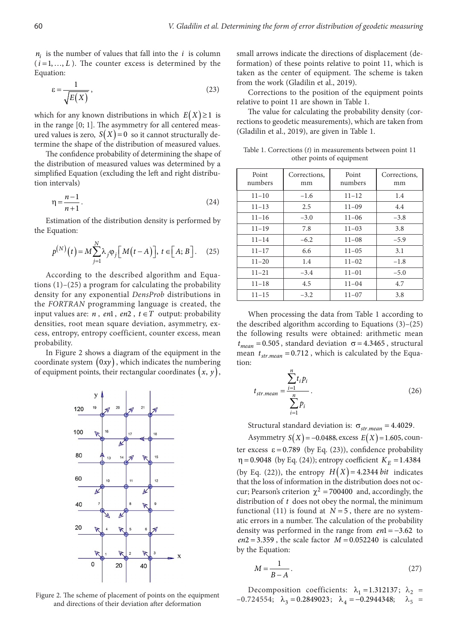$n_i$  is the number of values that fall into the *i* is column  $(i=1, ..., L)$ . The counter excess is determined by the Equation:

$$
\varepsilon = \frac{1}{\sqrt{E(X)}},\tag{23}
$$

which for any known distributions in which  $E(X) \geq 1$  is in the range [0; 1]. The asymmetry for all centered measured values is zero,  $S(X) = 0$  so it cannot structurally determine the shape of the distribution of measured values.

The confidence probability of determining the shape of the distribution of measured values was determined by a simplified Equation (excluding the left and right distribution intervals)

$$
\eta = \frac{n-1}{n+1}.\tag{24}
$$

Estimation of the distribution density is performed by the Equation:

$$
p^{(N)}(t) = M \sum_{j=1}^{N} \lambda_j \varphi_j \Big[ M(t - A) \Big], \ t \in \Big[ A; B \Big]. \tag{25}
$$

According to the described algorithm and Equations (1)–(25) a program for calculating the probability density for any exponential *DensProb* distributions in the *FORTRAN* programming language is created, the input values are:  $n$ ,  $en1$ ,  $en2$ ,  $t \in T$  output: probability densities, root mean square deviation, asymmetry, excess, entropy, entropy coefficient, counter excess, mean probability.

[In Figure](#page-4-0) 2 shows a diagram of the equipment in the coordinate system  $(0xy)$ , which indicates the numbering of equipment points, their rectangular coordinates  $(x, y)$ ,



and directions of their deviation after deformation

small arrows indicate the directions of displacement (deformation) of these points relative to point 11, which is taken as the center of equipment. The scheme is taken from the work (Gladilin et al., 2019).

<span id="page-4-0"></span>Corrections to the position of the equipment points relative to point 11 are shown in Table 1.

The value for calculating the probability density (corrections to geodetic measurements), which are taken from (Gladilin et al., 2019), are given in Table 1.

Table 1. Corrections (*t*) in measurements between point 11 other points of equipment

| Point<br>numbers | Corrections,<br>mm | Point<br>numbers | Corrections,<br>mm |  |
|------------------|--------------------|------------------|--------------------|--|
| $11 - 10$        | $-1.6$             | $11 - 12$        | 1.4                |  |
| $11 - 13$        | 2.5                | $11 - 09$        | 4.4                |  |
| $11 - 16$        | $-3.0$             | $11 - 06$        | $-3.8$             |  |
| $11 - 19$        | 7.8                | $11 - 03$        | 3.8                |  |
| $11 - 14$        | $-6.2$             | $11 - 08$        | $-5.9$             |  |
| $11 - 17$        | 6.6                | $11 - 05$        | 3.1                |  |
| $11 - 20$        | 1.4                | $11 - 02$        | $-1.8$             |  |
| $11 - 21$        | $-3.4$             | $11 - 01$        | $-5.0$             |  |
| $11 - 18$        | 4.5                | $11 - 04$        | 4.7                |  |
| $11 - 15$        | $-3.2$             | $11 - 07$        | 3.8                |  |

When processing the data from Table 1 according to the described algorithm according to Equations (3)–(25) the following results were obtained: arithmetic mean  $t_{mean} = 0.505$ , standard deviation  $\sigma = 4.3465$ , structural mean  $t_{str,mean} = 0.712$ , which is calculated by the Equation:

$$
t_{str.mean} = \frac{\sum_{i=1}^{n} t_i p_i}{\sum_{i=1}^{n} p_i}.
$$
 (26)

Structural standard deviation is:  $\sigma_{str. mean} = 4.4029$ .

Asymmetry  $S(X) = -0.0488$ , excess  $E(X) = 1.605$ , counter excess  $\varepsilon = 0.789$  (by Eq. (23)), confidence probability  $η = 0.9048$  (by Eq. (24)); entropy coefficient  $K_E = 1.4384$ (by Eq. (22)), the entropy  $H(X) = 4.2344 \text{ bit}$  indicates that the loss of information in the distribution does not occur; Pearson's criterion  $\chi^2$  = 700400 and, accordingly, the distribution of *t* does not obey the normal, the minimum functional (11) is found at  $N = 5$ , there are no systematic errors in a number. The calculation of the probability density was performed in the range from *en*1 = −3.62 to  $en2 = 3.359$ , the scale factor  $M = 0.052240$  is calculated by the Equation:

$$
M = \frac{1}{B - A} \tag{27}
$$

Decomposition coefficients:  $\lambda_1 = 1.312137$ ;  $\lambda_2 =$ Figure 2. The scheme of placement of points on the equipment<br>  $-0.724554$ ;  $\lambda_3 = 0.2849023$ ;  $\lambda_4 = -0.2944348$ ;  $\lambda_5 =$